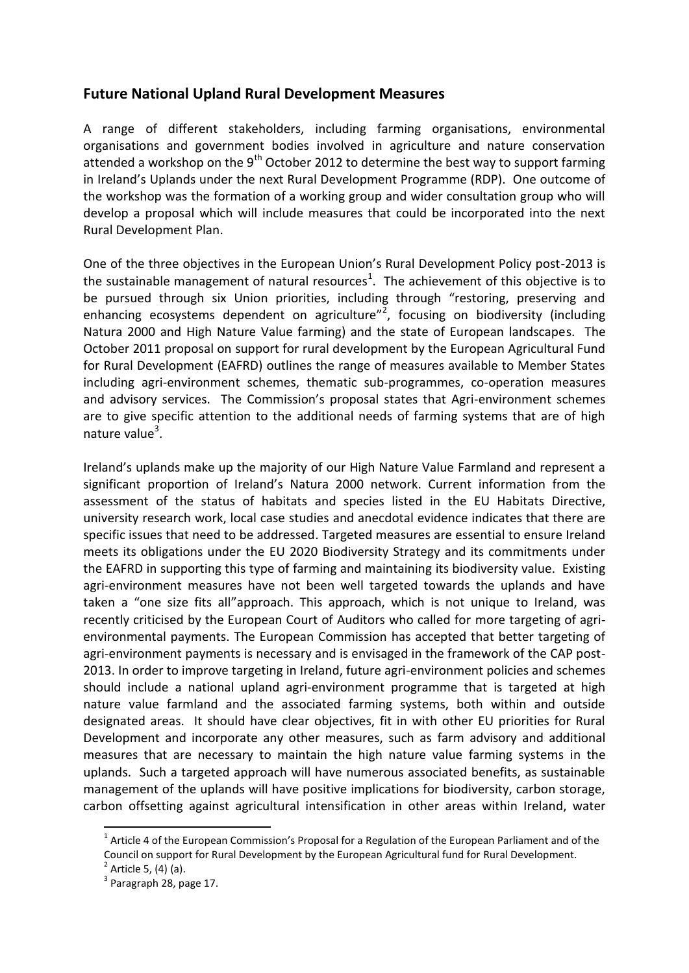## **Future National Upland Rural Development Measures**

A range of different stakeholders, including farming organisations, environmental organisations and government bodies involved in agriculture and nature conservation attended a workshop on the  $9<sup>th</sup>$  October 2012 to determine the best way to support farming in Ireland's Uplands under the next Rural Development Programme (RDP). One outcome of the workshop was the formation of a working group and wider consultation group who will develop a proposal which will include measures that could be incorporated into the next Rural Development Plan.

One of the three objectives in the European Union's Rural Development Policy post-2013 is the sustainable management of natural resources<sup>1</sup>. The achievement of this objective is to be pursued through six Union priorities, including through "restoring, preserving and enhancing ecosystems dependent on agriculture<sup>"2</sup>, focusing on biodiversity (including Natura 2000 and High Nature Value farming) and the state of European landscapes. The October 2011 proposal on support for rural development by the European Agricultural Fund for Rural Development (EAFRD) outlines the range of measures available to Member States including agri-environment schemes, thematic sub-programmes, co-operation measures and advisory services. The Commission's proposal states that Agri-environment schemes are to give specific attention to the additional needs of farming systems that are of high nature value<sup>3</sup>.

Ireland's uplands make up the majority of our High Nature Value Farmland and represent a significant proportion of Ireland's Natura 2000 network. Current information from the assessment of the status of habitats and species listed in the EU Habitats Directive, university research work, local case studies and anecdotal evidence indicates that there are specific issues that need to be addressed. Targeted measures are essential to ensure Ireland meets its obligations under the EU 2020 Biodiversity Strategy and its commitments under the EAFRD in supporting this type of farming and maintaining its biodiversity value. Existing agri-environment measures have not been well targeted towards the uplands and have taken a "one size fits all"approach. This approach, which is not unique to Ireland, was recently criticised by the European Court of Auditors who called for more targeting of agrienvironmental payments. The European Commission has accepted that better targeting of agri-environment payments is necessary and is envisaged in the framework of the CAP post-2013. In order to improve targeting in Ireland, future agri-environment policies and schemes should include a national upland agri-environment programme that is targeted at high nature value farmland and the associated farming systems, both within and outside designated areas. It should have clear objectives, fit in with other EU priorities for Rural Development and incorporate any other measures, such as farm advisory and additional measures that are necessary to maintain the high nature value farming systems in the uplands. Such a targeted approach will have numerous associated benefits, as sustainable management of the uplands will have positive implications for biodiversity, carbon storage, carbon offsetting against agricultural intensification in other areas within Ireland, water

 $\overline{a}$ 

 $^1$  Article 4 of the European Commission's Proposal for a Regulation of the European Parliament and of the Council on support for Rural Development by the European Agricultural fund for Rural Development.

<sup>&</sup>lt;sup>2</sup> Article 5, (4) (a).

 $3$  Paragraph 28, page 17.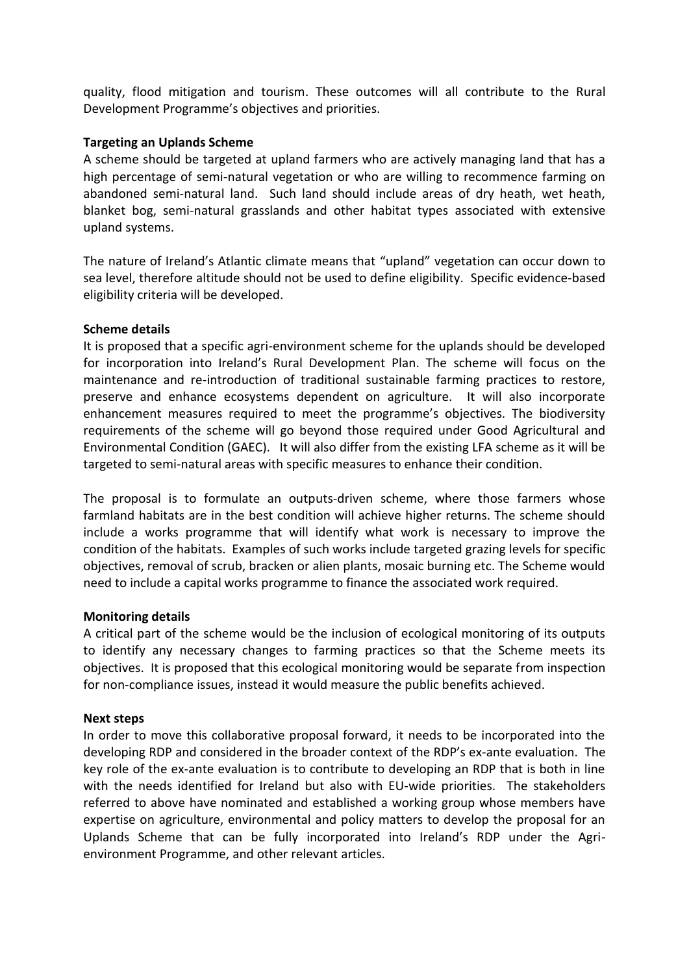quality, flood mitigation and tourism. These outcomes will all contribute to the Rural Development Programme's objectives and priorities.

### **Targeting an Uplands Scheme**

A scheme should be targeted at upland farmers who are actively managing land that has a high percentage of semi-natural vegetation or who are willing to recommence farming on abandoned semi-natural land. Such land should include areas of dry heath, wet heath, blanket bog, semi-natural grasslands and other habitat types associated with extensive upland systems.

The nature of Ireland's Atlantic climate means that "upland" vegetation can occur down to sea level, therefore altitude should not be used to define eligibility. Specific evidence-based eligibility criteria will be developed.

## **Scheme details**

It is proposed that a specific agri-environment scheme for the uplands should be developed for incorporation into Ireland's Rural Development Plan. The scheme will focus on the maintenance and re-introduction of traditional sustainable farming practices to restore, preserve and enhance ecosystems dependent on agriculture. It will also incorporate enhancement measures required to meet the programme's objectives. The biodiversity requirements of the scheme will go beyond those required under Good Agricultural and Environmental Condition (GAEC). It will also differ from the existing LFA scheme as it will be targeted to semi-natural areas with specific measures to enhance their condition.

The proposal is to formulate an outputs-driven scheme, where those farmers whose farmland habitats are in the best condition will achieve higher returns. The scheme should include a works programme that will identify what work is necessary to improve the condition of the habitats. Examples of such works include targeted grazing levels for specific objectives, removal of scrub, bracken or alien plants, mosaic burning etc. The Scheme would need to include a capital works programme to finance the associated work required.

## **Monitoring details**

A critical part of the scheme would be the inclusion of ecological monitoring of its outputs to identify any necessary changes to farming practices so that the Scheme meets its objectives. It is proposed that this ecological monitoring would be separate from inspection for non-compliance issues, instead it would measure the public benefits achieved.

#### **Next steps**

In order to move this collaborative proposal forward, it needs to be incorporated into the developing RDP and considered in the broader context of the RDP's ex-ante evaluation. The key role of the ex-ante evaluation is to contribute to developing an RDP that is both in line with the needs identified for Ireland but also with EU-wide priorities. The stakeholders referred to above have nominated and established a working group whose members have expertise on agriculture, environmental and policy matters to develop the proposal for an Uplands Scheme that can be fully incorporated into Ireland's RDP under the Agrienvironment Programme, and other relevant articles.